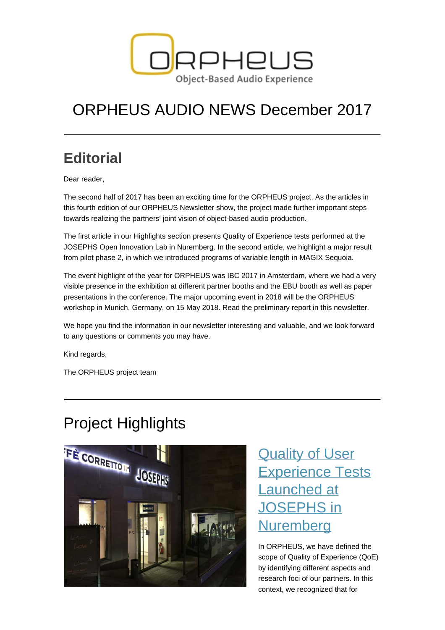

# ORPHEUS AUDIO NEWS December 2017

## **Editorial**

Dear reader,

The second half of 2017 has been an exciting time for the ORPHEUS project. As the articles in this fourth edition of our ORPHEUS Newsletter show, the project made further important steps towards realizing the partners' joint vision of object-based audio production.

The first article in our Highlights section presents Quality of Experience tests performed at the JOSEPHS Open Innovation Lab in Nuremberg. In the second article, we highlight a major result from pilot phase 2, in which we introduced programs of variable length in MAGIX Sequoia.

The event highlight of the year for ORPHEUS was IBC 2017 in Amsterdam, where we had a very visible presence in the exhibition at different partner booths and the EBU booth as well as paper presentations in the conference. The major upcoming event in 2018 will be the ORPHEUS workshop in Munich, Germany, on 15 May 2018. Read the preliminary report in this newsletter.

We hope you find the information in our newsletter interesting and valuable, and we look forward to any questions or comments you may have.

Kind regards,

The ORPHEUS project team

## Project Highlights



## **[Quality of User](https://orpheus-audio.eu/quality-of-user-experience-tests-josephs/)** [Experience Tests](https://orpheus-audio.eu/quality-of-user-experience-tests-josephs/) [Launched at](https://orpheus-audio.eu/quality-of-user-experience-tests-josephs/) [JOSEPHS in](https://orpheus-audio.eu/quality-of-user-experience-tests-josephs/) **[Nuremberg](https://orpheus-audio.eu/quality-of-user-experience-tests-josephs/)**

In ORPHEUS, we have defined the scope of Quality of Experience (QoE) by identifying different aspects and research foci of our partners. In this context, we recognized that for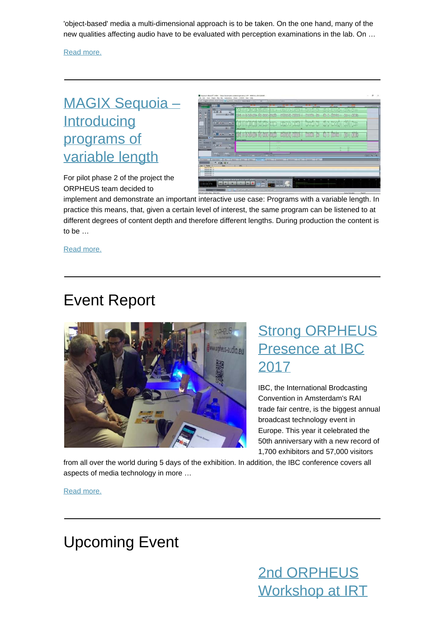'object-based' media a multi-dimensional approach is to be taken. On the one hand, many of the new qualities affecting audio have to be evaluated with perception examinations in the lab. On …

[Read more.](https://orpheus-audio.eu/quality-of-user-experience-tests-josephs/)

#### [MAGIX Sequoia –](https://orpheus-audio.eu/magix-sequoia-introducing-programs-of-variable-length/) **[Introducing](https://orpheus-audio.eu/magix-sequoia-introducing-programs-of-variable-length/)** [programs of](https://orpheus-audio.eu/magix-sequoia-introducing-programs-of-variable-length/) [variable length](https://orpheus-audio.eu/magix-sequoia-introducing-programs-of-variable-length/)

For pilot phase 2 of the project the ORPHEUS team decided to



implement and demonstrate an important interactive use case: Programs with a variable length. In practice this means, that, given a certain level of interest, the same program can be listened to at different degrees of content depth and therefore different lengths. During production the content is to be …

[Read more.](https://orpheus-audio.eu/magix-sequoia-introducing-programs-of-variable-length/)

### Event Report



#### **[Strong ORPHEUS](https://orpheus-audio.eu/ibc2017/)** [Presence at IBC](https://orpheus-audio.eu/ibc2017/) [2017](https://orpheus-audio.eu/ibc2017/)

IBC, the International Brodcasting Convention in Amsterdam's RAI trade fair centre, is the biggest annual broadcast technology event in Europe. This year it celebrated the 50th anniversary with a new record of 1,700 exhibitors and 57,000 visitors

from all over the world during 5 days of the exhibition. In addition, the IBC conference covers all aspects of media technology in more …

[Read more.](https://orpheus-audio.eu/ibc2017/)

#### Upcoming Event

[2nd ORPHEUS](https://orpheus-audio.eu/2nd-orpheus-workshop-at-irt-in-munich-15-may-2018/) [Workshop at IRT](https://orpheus-audio.eu/2nd-orpheus-workshop-at-irt-in-munich-15-may-2018/)